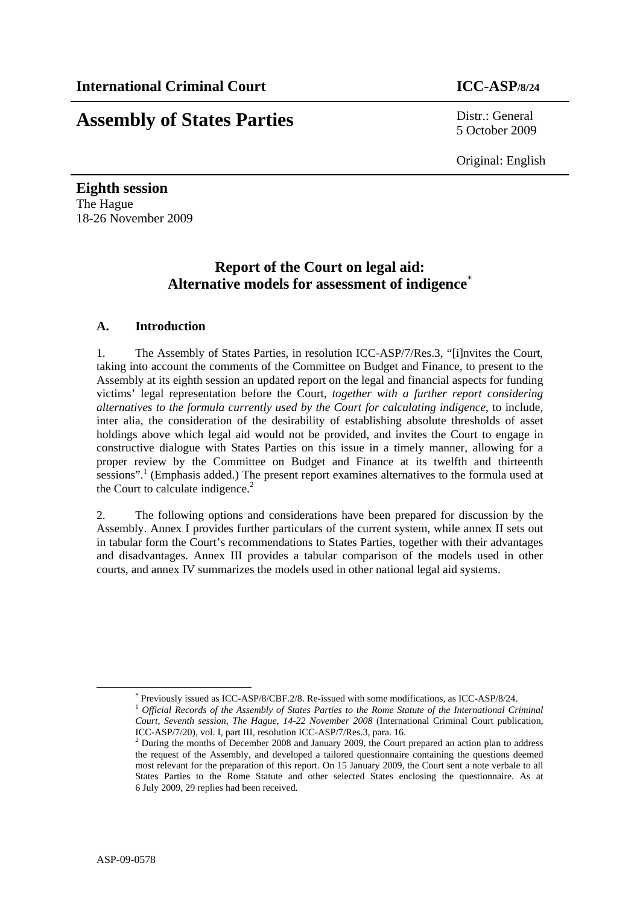# **Assembly of States Parties** Distr.: General

5 October 2009

Original: English

**Eighth session**  The Hague 18-26 November 2009

## **Report of the Court on legal aid: Alternative models for assessment of indigence**\*

## **A. Introduction**

1. The Assembly of States Parties, in resolution ICC-ASP/7/Res.3, "[i]nvites the Court, taking into account the comments of the Committee on Budget and Finance, to present to the Assembly at its eighth session an updated report on the legal and financial aspects for funding victims' legal representation before the Court, *together with a further report considering alternatives to the formula currently used by the Court for calculating indigence*, to include, inter alia, the consideration of the desirability of establishing absolute thresholds of asset holdings above which legal aid would not be provided, and invites the Court to engage in constructive dialogue with States Parties on this issue in a timely manner, allowing for a proper review by the Committee on Budget and Finance at its twelfth and thirteenth sessions".<sup>1</sup> (Emphasis added.) The present report examines alternatives to the formula used at the Court to calculate indigence.<sup>2</sup>

2. The following options and considerations have been prepared for discussion by the Assembly. Annex I provides further particulars of the current system, while annex II sets out in tabular form the Court's recommendations to States Parties, together with their advantages and disadvantages. Annex III provides a tabular comparison of the models used in other courts, and annex IV summarizes the models used in other national legal aid systems.

 <sup>\*</sup>

<sup>&</sup>lt;sup>\*</sup> Previously issued as ICC-ASP/8/CBF.2/8. Re-issued with some modifications, as ICC-ASP/8/24.<br><sup>1</sup> *Official Records of the Assembly of States Parties to the Rome Statute of the International Criminal Court, Seventh session, The Hague, 14-22 November 2008* (International Criminal Court publication, ICC-ASP/7/20), vol. I, part III, resolution ICC-ASP/7/Res.3, para. 16. 2

 $2$  During the months of December 2008 and January 2009, the Court prepared an action plan to address the request of the Assembly, and developed a tailored questionnaire containing the questions deemed most relevant for the preparation of this report. On 15 January 2009, the Court sent a note verbale to all States Parties to the Rome Statute and other selected States enclosing the questionnaire. As at 6 July 2009, 29 replies had been received.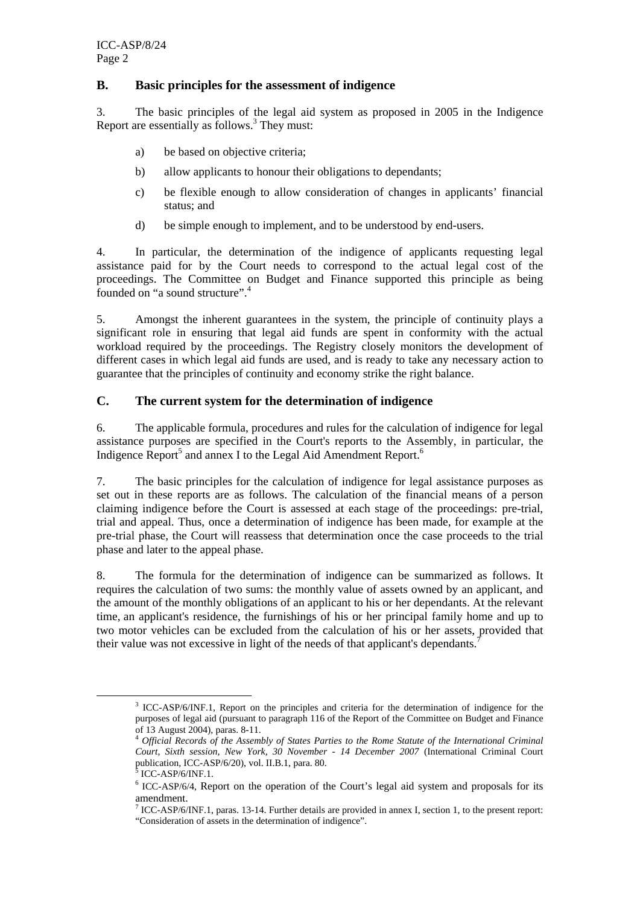## **B. Basic principles for the assessment of indigence**

3. The basic principles of the legal aid system as proposed in 2005 in the Indigence Report are essentially as  $\frac{1}{2}$  follows.<sup>3</sup> They must:

- a) be based on objective criteria;
- b) allow applicants to honour their obligations to dependants;
- c) be flexible enough to allow consideration of changes in applicants' financial status; and
- d) be simple enough to implement, and to be understood by end-users.

4. In particular, the determination of the indigence of applicants requesting legal assistance paid for by the Court needs to correspond to the actual legal cost of the proceedings. The Committee on Budget and Finance supported this principle as being founded on "a sound structure".<sup>4</sup>

5. Amongst the inherent guarantees in the system, the principle of continuity plays a significant role in ensuring that legal aid funds are spent in conformity with the actual workload required by the proceedings. The Registry closely monitors the development of different cases in which legal aid funds are used, and is ready to take any necessary action to guarantee that the principles of continuity and economy strike the right balance.

## **C. The current system for the determination of indigence**

6. The applicable formula, procedures and rules for the calculation of indigence for legal assistance purposes are specified in the Court's reports to the Assembly, in particular, the Indigence Report<sup>5</sup> and annex I to the Legal Aid Amendment Report.<sup>6</sup>

7. The basic principles for the calculation of indigence for legal assistance purposes as set out in these reports are as follows. The calculation of the financial means of a person claiming indigence before the Court is assessed at each stage of the proceedings: pre-trial, trial and appeal. Thus, once a determination of indigence has been made, for example at the pre-trial phase, the Court will reassess that determination once the case proceeds to the trial phase and later to the appeal phase.

8. The formula for the determination of indigence can be summarized as follows. It requires the calculation of two sums: the monthly value of assets owned by an applicant, and the amount of the monthly obligations of an applicant to his or her dependants. At the relevant time, an applicant's residence, the furnishings of his or her principal family home and up to two motor vehicles can be excluded from the calculation of his or her assets, provided that their value was not excessive in light of the needs of that applicant's dependants.<sup>7</sup>

 <sup>3</sup> <sup>3</sup> ICC-ASP/6/INF.1, Report on the principles and criteria for the determination of indigence for the purposes of legal aid (pursuant to paragraph 116 of the Report of the Committee on Budget and Finance of 13 August 2004), paras. 8-11.

<sup>4</sup> *Official Records of the Assembly of States Parties to the Rome Statute of the International Criminal Court, Sixth session, New York, 30 November - 14 December 2007* (International Criminal Court publication, ICC-ASP/6/20), vol. II.B.1, para. 80.

 $3$  ICC-ASP/6/INF.1.

<sup>&</sup>lt;sup>6</sup> ICC-ASP/6/4, Report on the operation of the Court's legal aid system and proposals for its amendment.

<sup>7</sup> ICC-ASP/6/INF.1, paras. 13-14. Further details are provided in annex I, section 1, to the present report: "Consideration of assets in the determination of indigence".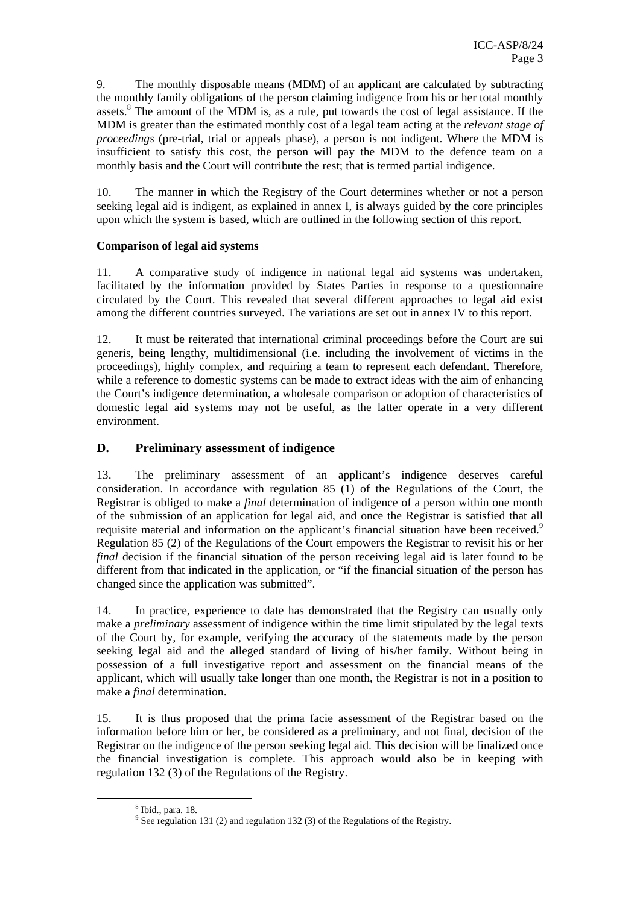9. The monthly disposable means (MDM) of an applicant are calculated by subtracting the monthly family obligations of the person claiming indigence from his or her total monthly assets.<sup>8</sup> The amount of the MDM is, as a rule, put towards the cost of legal assistance. If the MDM is greater than the estimated monthly cost of a legal team acting at the *relevant stage of proceedings* (pre-trial, trial or appeals phase), a person is not indigent. Where the MDM is insufficient to satisfy this cost, the person will pay the MDM to the defence team on a monthly basis and the Court will contribute the rest; that is termed partial indigence.

10. The manner in which the Registry of the Court determines whether or not a person seeking legal aid is indigent, as explained in annex I, is always guided by the core principles upon which the system is based, which are outlined in the following section of this report.

## **Comparison of legal aid systems**

11. A comparative study of indigence in national legal aid systems was undertaken, facilitated by the information provided by States Parties in response to a questionnaire circulated by the Court. This revealed that several different approaches to legal aid exist among the different countries surveyed. The variations are set out in annex IV to this report.

12. It must be reiterated that international criminal proceedings before the Court are sui generis, being lengthy, multidimensional (i.e. including the involvement of victims in the proceedings), highly complex, and requiring a team to represent each defendant. Therefore, while a reference to domestic systems can be made to extract ideas with the aim of enhancing the Court's indigence determination, a wholesale comparison or adoption of characteristics of domestic legal aid systems may not be useful, as the latter operate in a very different environment.

## **D. Preliminary assessment of indigence**

13. The preliminary assessment of an applicant's indigence deserves careful consideration. In accordance with regulation 85 (1) of the Regulations of the Court, the Registrar is obliged to make a *final* determination of indigence of a person within one month of the submission of an application for legal aid, and once the Registrar is satisfied that all requisite material and information on the applicant's financial situation have been received.<sup>9</sup> Regulation 85 (2) of the Regulations of the Court empowers the Registrar to revisit his or her *final* decision if the financial situation of the person receiving legal aid is later found to be different from that indicated in the application, or "if the financial situation of the person has changed since the application was submitted".

14. In practice, experience to date has demonstrated that the Registry can usually only make a *preliminary* assessment of indigence within the time limit stipulated by the legal texts of the Court by, for example, verifying the accuracy of the statements made by the person seeking legal aid and the alleged standard of living of his/her family. Without being in possession of a full investigative report and assessment on the financial means of the applicant, which will usually take longer than one month, the Registrar is not in a position to make a *final* determination.

15. It is thus proposed that the prima facie assessment of the Registrar based on the information before him or her, be considered as a preliminary, and not final, decision of the Registrar on the indigence of the person seeking legal aid. This decision will be finalized once the financial investigation is complete. This approach would also be in keeping with regulation 132 (3) of the Regulations of the Registry.

 $\frac{1}{8}$  $8$  Ibid., para. 18.

 $9^9$  See regulation 131 (2) and regulation 132 (3) of the Regulations of the Registry.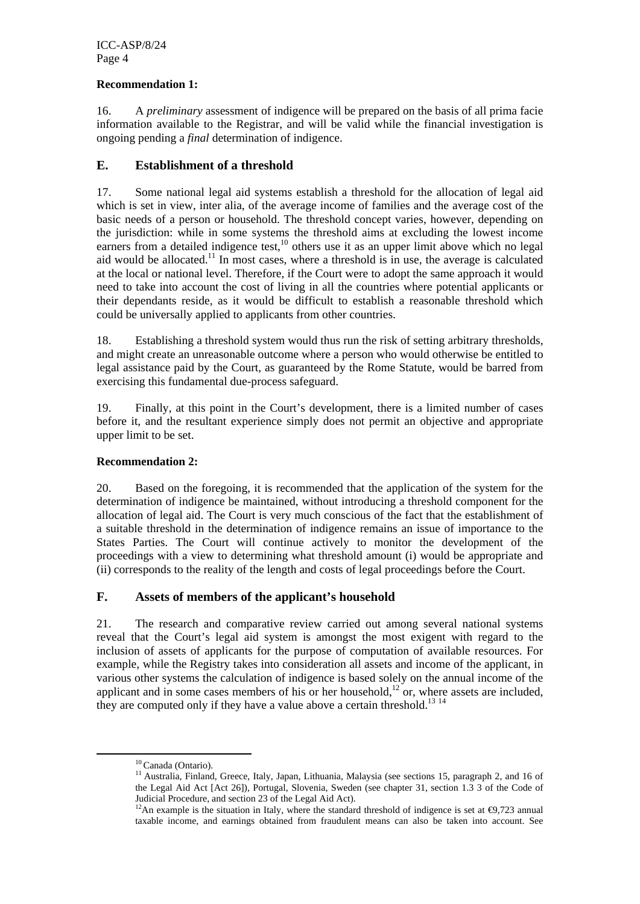## **Recommendation 1:**

16. A *preliminary* assessment of indigence will be prepared on the basis of all prima facie information available to the Registrar, and will be valid while the financial investigation is ongoing pending a *final* determination of indigence.

## **E. Establishment of a threshold**

17. Some national legal aid systems establish a threshold for the allocation of legal aid which is set in view, inter alia, of the average income of families and the average cost of the basic needs of a person or household. The threshold concept varies, however, depending on the jurisdiction: while in some systems the threshold aims at excluding the lowest income earners from a detailed indigence test, $10$  others use it as an upper limit above which no legal aid would be allocated.<sup>11</sup> In most cases, where a threshold is in use, the average is calculated at the local or national level. Therefore, if the Court were to adopt the same approach it would need to take into account the cost of living in all the countries where potential applicants or their dependants reside, as it would be difficult to establish a reasonable threshold which could be universally applied to applicants from other countries.

18. Establishing a threshold system would thus run the risk of setting arbitrary thresholds, and might create an unreasonable outcome where a person who would otherwise be entitled to legal assistance paid by the Court, as guaranteed by the Rome Statute, would be barred from exercising this fundamental due-process safeguard.

19. Finally, at this point in the Court's development, there is a limited number of cases before it, and the resultant experience simply does not permit an objective and appropriate upper limit to be set.

## **Recommendation 2:**

20. Based on the foregoing, it is recommended that the application of the system for the determination of indigence be maintained, without introducing a threshold component for the allocation of legal aid. The Court is very much conscious of the fact that the establishment of a suitable threshold in the determination of indigence remains an issue of importance to the States Parties. The Court will continue actively to monitor the development of the proceedings with a view to determining what threshold amount (i) would be appropriate and (ii) corresponds to the reality of the length and costs of legal proceedings before the Court.

## **F. Assets of members of the applicant's household**

21. The research and comparative review carried out among several national systems reveal that the Court's legal aid system is amongst the most exigent with regard to the inclusion of assets of applicants for the purpose of computation of available resources. For example, while the Registry takes into consideration all assets and income of the applicant, in various other systems the calculation of indigence is based solely on the annual income of the applicant and in some cases members of his or her household,<sup>12</sup> or, where assets are included, they are computed only if they have a value above a certain threshold.<sup>13 14</sup>

<sup>&</sup>lt;sup>10</sup> Canada (Ontario).<br><sup>11</sup> Australia, Finland, Greece, Italy, Japan, Lithuania, Malaysia (see sections 15, paragraph 2, and 16 of the Legal Aid Act [Act 26]), Portugal, Slovenia, Sweden (see chapter 31, section 1.3 3 of the Code of

Judicial Procedure, and section 23 of the Legal Aid Act). <sup>12</sup>An example is the situation in Italy, where the standard threshold of indigence is set at  $\Theta$ ,723 annual taxable income, and earnings obtained from fraudulent means can also be taken into account. See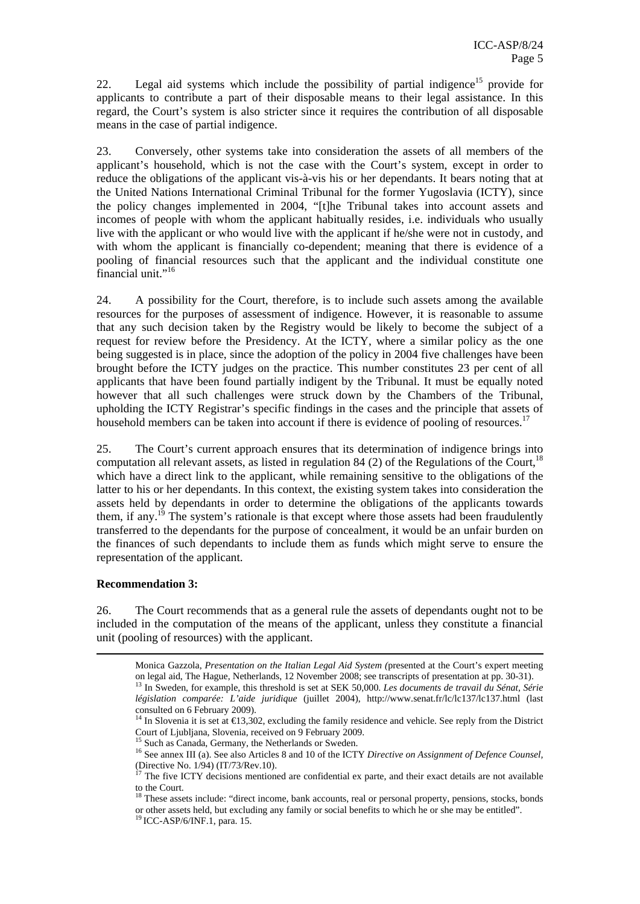22. Legal aid systems which include the possibility of partial indigence<sup>15</sup> provide for applicants to contribute a part of their disposable means to their legal assistance. In this regard, the Court's system is also stricter since it requires the contribution of all disposable means in the case of partial indigence.

23. Conversely, other systems take into consideration the assets of all members of the applicant's household, which is not the case with the Court's system, except in order to reduce the obligations of the applicant vis-à-vis his or her dependants. It bears noting that at the United Nations International Criminal Tribunal for the former Yugoslavia (ICTY), since the policy changes implemented in 2004, "[t]he Tribunal takes into account assets and incomes of people with whom the applicant habitually resides, i.e. individuals who usually live with the applicant or who would live with the applicant if he/she were not in custody, and with whom the applicant is financially co-dependent; meaning that there is evidence of a pooling of financial resources such that the applicant and the individual constitute one financial unit."<sup>16</sup>

24. A possibility for the Court, therefore, is to include such assets among the available resources for the purposes of assessment of indigence. However, it is reasonable to assume that any such decision taken by the Registry would be likely to become the subject of a request for review before the Presidency. At the ICTY, where a similar policy as the one being suggested is in place, since the adoption of the policy in 2004 five challenges have been brought before the ICTY judges on the practice. This number constitutes 23 per cent of all applicants that have been found partially indigent by the Tribunal. It must be equally noted however that all such challenges were struck down by the Chambers of the Tribunal, upholding the ICTY Registrar's specific findings in the cases and the principle that assets of household members can be taken into account if there is evidence of pooling of resources.<sup>17</sup>

25. The Court's current approach ensures that its determination of indigence brings into computation all relevant assets, as listed in regulation 84 (2) of the Regulations of the Court,  $^{18}$ which have a direct link to the applicant, while remaining sensitive to the obligations of the latter to his or her dependants. In this context, the existing system takes into consideration the assets held by dependants in order to determine the obligations of the applicants towards them, if any.<sup>19</sup> The system's rationale is that except where those assets had been fraudulently transferred to the dependants for the purpose of concealment, it would be an unfair burden on the finances of such dependants to include them as funds which might serve to ensure the representation of the applicant.

## **Recommendation 3:**

26. The Court recommends that as a general rule the assets of dependants ought not to be included in the computation of the means of the applicant, unless they constitute a financial unit (pooling of resources) with the applicant.

Monica Gazzola, *Presentation on the Italian Legal Aid System (*presented at the Court's expert meeting on legal aid, The Hague, Netherlands, 12 November 2008; see transcripts of presentation at pp. 30-31). 13 In Sweden, for example, this threshold is set at SEK 50,000. *Les documents de travail du Sénat, Série législation comparée: L'aide juridique* (juillet 2004), http://www.senat.fr/lc/lc137/lc137.html (last consulted on 6 February 2009).

<sup>&</sup>lt;sup>14</sup> In Slovenia it is set at  $\in$  3,302, excluding the family residence and vehicle. See reply from the District Court of Ljubljana, Slovenia, received on 9 February 2009.

<sup>&</sup>lt;sup>15</sup> Such as Canada, Germany, the Netherlands or Sweden.

<sup>&</sup>lt;sup>16</sup> See annex III (a). See also Articles 8 and 10 of the ICTY *Directive on Assignment of Defence Counsel*, (Directive No. 1/94) (IT/73/Rev.10).

 $17$  The five ICTY decisions mentioned are confidential ex parte, and their exact details are not available to the Court.

<sup>&</sup>lt;sup>18</sup> These assets include: "direct income, bank accounts, real or personal property, pensions, stocks, bonds or other assets held, but excluding any family or social benefits to which he or she may be entitled". 19 ICC-ASP/6/INF.1, para. 15.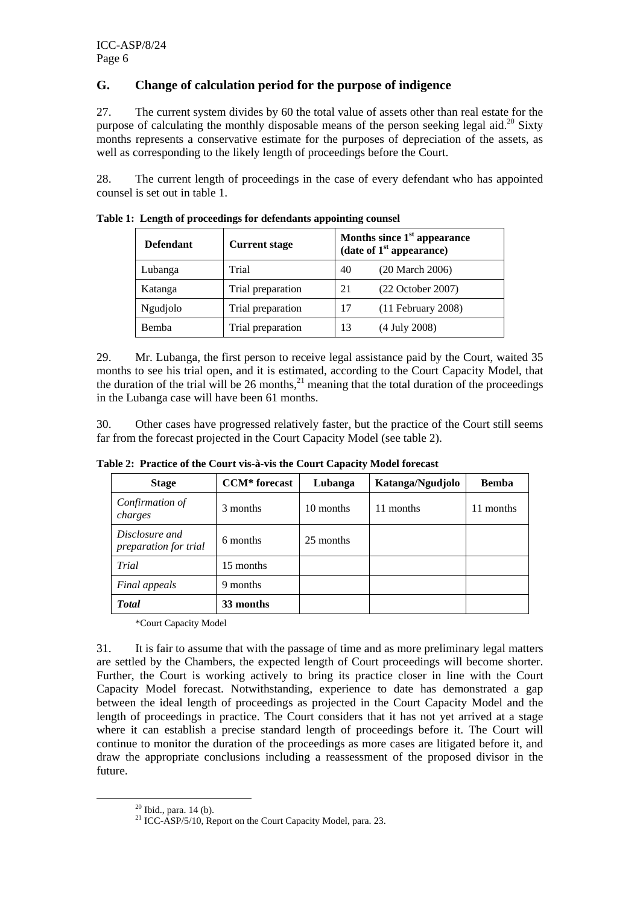## **G. Change of calculation period for the purpose of indigence**

27. The current system divides by 60 the total value of assets other than real estate for the purpose of calculating the monthly disposable means of the person seeking legal aid.<sup>20</sup> Sixty months represents a conservative estimate for the purposes of depreciation of the assets, as well as corresponding to the likely length of proceedings before the Court.

28. The current length of proceedings in the case of every defendant who has appointed counsel is set out in table 1.

| <b>Defendant</b> | <b>Current stage</b> | Months since 1 <sup>st</sup> appearance<br>(date of $1st$ appearance) |                       |
|------------------|----------------------|-----------------------------------------------------------------------|-----------------------|
| Lubanga          | Trial                | 40                                                                    | (20 March 2006)       |
| Katanga          | Trial preparation    | 21                                                                    | $(22$ October $2007)$ |
| Ngudjolo         | Trial preparation    | 17                                                                    | $(11$ February 2008)  |
| Bemba            | Trial preparation    | 13                                                                    | (4 July 2008)         |

**Table 1: Length of proceedings for defendants appointing counsel** 

29. Mr. Lubanga, the first person to receive legal assistance paid by the Court, waited 35 months to see his trial open, and it is estimated, according to the Court Capacity Model, that the duration of the trial will be 26 months,  $^{21}$  meaning that the total duration of the proceedings in the Lubanga case will have been 61 months.

30. Other cases have progressed relatively faster, but the practice of the Court still seems far from the forecast projected in the Court Capacity Model (see table 2).

| <b>Stage</b>                            | <b>CCM*</b> forecast | Lubanga   | Katanga/Ngudjolo | <b>Bemba</b> |
|-----------------------------------------|----------------------|-----------|------------------|--------------|
| Confirmation of<br>charges              | 3 months             | 10 months | 11 months        | months<br>11 |
| Disclosure and<br>preparation for trial | 6 months             | 25 months |                  |              |
| Trial                                   | 15 months            |           |                  |              |
| Final appeals                           | 9 months             |           |                  |              |
| <b>Total</b>                            | 33 months            |           |                  |              |

**Table 2: Practice of the Court vis-à-vis the Court Capacity Model forecast** 

\*Court Capacity Model

31. It is fair to assume that with the passage of time and as more preliminary legal matters are settled by the Chambers, the expected length of Court proceedings will become shorter. Further, the Court is working actively to bring its practice closer in line with the Court Capacity Model forecast. Notwithstanding, experience to date has demonstrated a gap between the ideal length of proceedings as projected in the Court Capacity Model and the length of proceedings in practice. The Court considers that it has not yet arrived at a stage where it can establish a precise standard length of proceedings before it. The Court will continue to monitor the duration of the proceedings as more cases are litigated before it, and draw the appropriate conclusions including a reassessment of the proposed divisor in the future.

 $20$  Ibid., para. 14 (b).

<sup>&</sup>lt;sup>21</sup> ICC-ASP/5/10, Report on the Court Capacity Model, para. 23.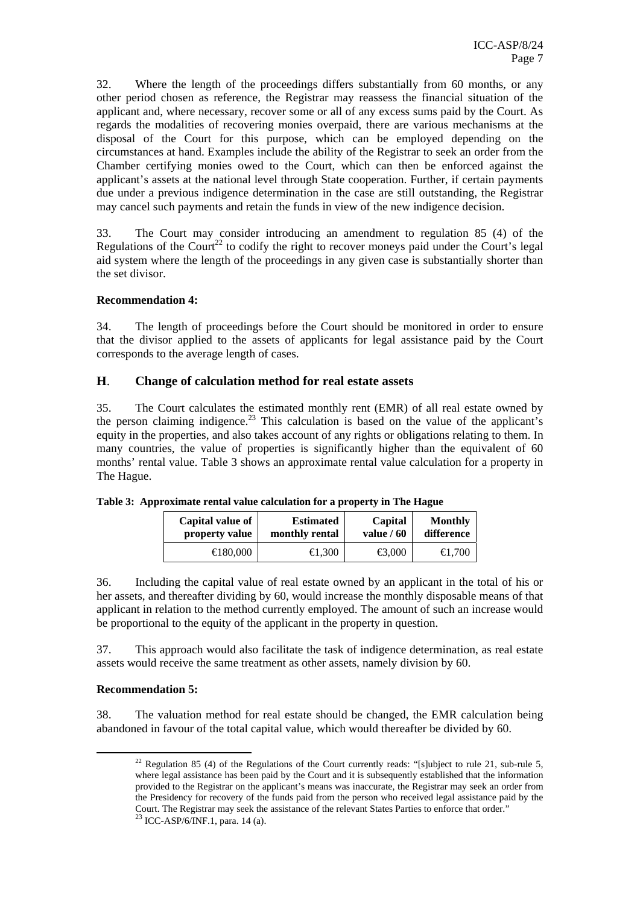32. Where the length of the proceedings differs substantially from 60 months, or any other period chosen as reference, the Registrar may reassess the financial situation of the applicant and, where necessary, recover some or all of any excess sums paid by the Court. As regards the modalities of recovering monies overpaid, there are various mechanisms at the disposal of the Court for this purpose, which can be employed depending on the circumstances at hand. Examples include the ability of the Registrar to seek an order from the Chamber certifying monies owed to the Court, which can then be enforced against the applicant's assets at the national level through State cooperation. Further, if certain payments due under a previous indigence determination in the case are still outstanding, the Registrar may cancel such payments and retain the funds in view of the new indigence decision.

33. The Court may consider introducing an amendment to regulation 85 (4) of the Regulations of the Court<sup>22</sup> to codify the right to recover moneys paid under the Court's legal aid system where the length of the proceedings in any given case is substantially shorter than the set divisor.

## **Recommendation 4:**

34. The length of proceedings before the Court should be monitored in order to ensure that the divisor applied to the assets of applicants for legal assistance paid by the Court corresponds to the average length of cases.

## **H**. **Change of calculation method for real estate assets**

35. The Court calculates the estimated monthly rent (EMR) of all real estate owned by the person claiming indigence.<sup>23</sup> This calculation is based on the value of the applicant's equity in the properties, and also takes account of any rights or obligations relating to them. In many countries, the value of properties is significantly higher than the equivalent of 60 months' rental value. Table 3 shows an approximate rental value calculation for a property in The Hague.

| Capital value of   | <b>Estimated</b>  | Capital          | <b>Monthly</b> |
|--------------------|-------------------|------------------|----------------|
| property value     | monthly rental    | value $/60$      | difference     |
| $\bigoplus$ 80,000 | $\bigoplus$ , 300 | $\bigoplus$ ,000 |                |

**Table 3: Approximate rental value calculation for a property in The Hague** 

36. Including the capital value of real estate owned by an applicant in the total of his or her assets, and thereafter dividing by 60, would increase the monthly disposable means of that applicant in relation to the method currently employed. The amount of such an increase would be proportional to the equity of the applicant in the property in question.

37. This approach would also facilitate the task of indigence determination, as real estate assets would receive the same treatment as other assets, namely division by 60.

## **Recommendation 5:**

38. The valuation method for real estate should be changed, the EMR calculation being abandoned in favour of the total capital value, which would thereafter be divided by 60.

<sup>&</sup>lt;sup>22</sup> Regulation 85 (4) of the Regulations of the Court currently reads: "[s]ubject to rule 21, sub-rule 5, where legal assistance has been paid by the Court and it is subsequently established that the information provided to the Registrar on the applicant's means was inaccurate, the Registrar may seek an order from the Presidency for recovery of the funds paid from the person who received legal assistance paid by the Court. The Registrar may seek the assistance of the relevant States Parties to enforce that order."

 $23$  ICC-ASP/6/INF.1, para. 14 (a).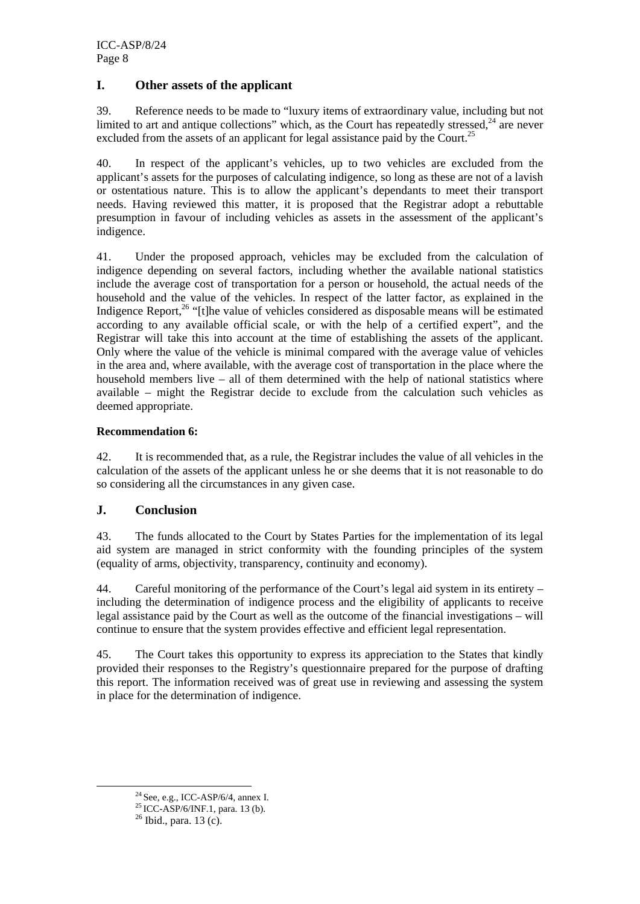## **I. Other assets of the applicant**

39. Reference needs to be made to "luxury items of extraordinary value, including but not limited to art and antique collections" which, as the Court has repeatedly stressed.<sup>24</sup> are never excluded from the assets of an applicant for legal assistance paid by the Court.<sup>25</sup>

40. In respect of the applicant's vehicles, up to two vehicles are excluded from the applicant's assets for the purposes of calculating indigence, so long as these are not of a lavish or ostentatious nature. This is to allow the applicant's dependants to meet their transport needs. Having reviewed this matter, it is proposed that the Registrar adopt a rebuttable presumption in favour of including vehicles as assets in the assessment of the applicant's indigence.

41. Under the proposed approach, vehicles may be excluded from the calculation of indigence depending on several factors, including whether the available national statistics include the average cost of transportation for a person or household, the actual needs of the household and the value of the vehicles. In respect of the latter factor, as explained in the Indigence Report,<sup>26</sup> "[t]he value of vehicles considered as disposable means will be estimated according to any available official scale, or with the help of a certified expert", and the Registrar will take this into account at the time of establishing the assets of the applicant. Only where the value of the vehicle is minimal compared with the average value of vehicles in the area and, where available, with the average cost of transportation in the place where the household members live – all of them determined with the help of national statistics where available – might the Registrar decide to exclude from the calculation such vehicles as deemed appropriate.

## **Recommendation 6:**

42. It is recommended that, as a rule, the Registrar includes the value of all vehicles in the calculation of the assets of the applicant unless he or she deems that it is not reasonable to do so considering all the circumstances in any given case.

## **J. Conclusion**

43. The funds allocated to the Court by States Parties for the implementation of its legal aid system are managed in strict conformity with the founding principles of the system (equality of arms, objectivity, transparency, continuity and economy).

44. Careful monitoring of the performance of the Court's legal aid system in its entirety – including the determination of indigence process and the eligibility of applicants to receive legal assistance paid by the Court as well as the outcome of the financial investigations – will continue to ensure that the system provides effective and efficient legal representation.

45. The Court takes this opportunity to express its appreciation to the States that kindly provided their responses to the Registry's questionnaire prepared for the purpose of drafting this report. The information received was of great use in reviewing and assessing the system in place for the determination of indigence.

<sup>&</sup>lt;sup>24</sup> See, e.g., ICC-ASP/6/4, annex I.<br><sup>25</sup> ICC-ASP/6/INF.1, para. 13 (b).<br><sup>26</sup> Ibid., para. 13 (c).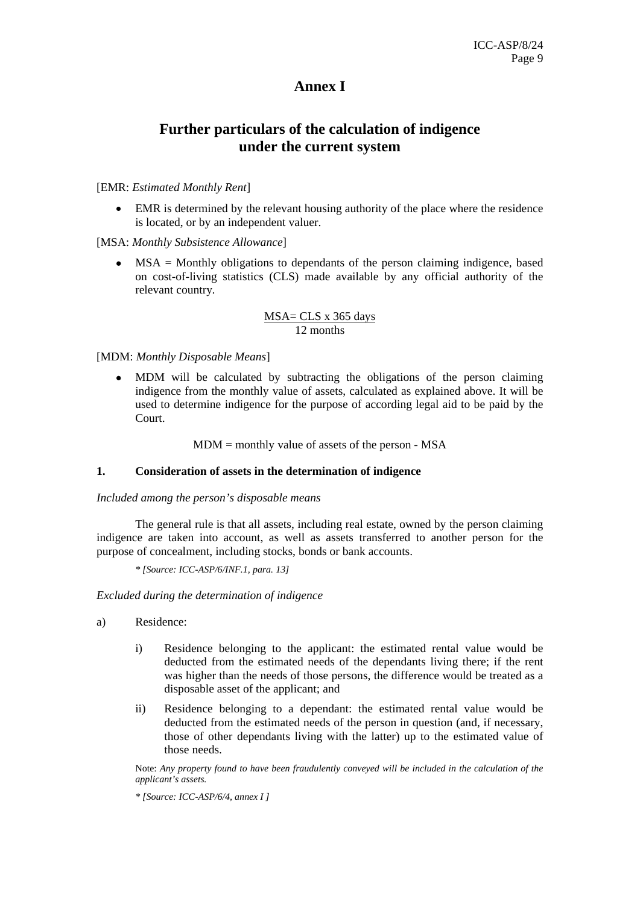## **Annex I**

## **Further particulars of the calculation of indigence under the current system**

#### [EMR: *Estimated Monthly Rent*]

EMR is determined by the relevant housing authority of the place where the residence is located, or by an independent valuer.

#### [MSA: *Monthly Subsistence Allowance*]

• MSA = Monthly obligations to dependants of the person claiming indigence, based on cost-of-living statistics (CLS) made available by any official authority of the relevant country*.*

#### MSA= CLS x 365 days 12 months

#### [MDM: *Monthly Disposable Means*]

• MDM will be calculated by subtracting the obligations of the person claiming indigence from the monthly value of assets, calculated as explained above. It will be used to determine indigence for the purpose of according legal aid to be paid by the Court.

 $MDM =$  monthly value of assets of the person - MSA

#### **1. Consideration of assets in the determination of indigence**

*Included among the person's disposable means* 

The general rule is that all assets, including real estate, owned by the person claiming indigence are taken into account, as well as assets transferred to another person for the purpose of concealment, including stocks, bonds or bank accounts.

*\* [Source: ICC-ASP/6/INF.1, para. 13]*

*Excluded during the determination of indigence* 

- a) Residence:
	- i) Residence belonging to the applicant: the estimated rental value would be deducted from the estimated needs of the dependants living there; if the rent was higher than the needs of those persons, the difference would be treated as a disposable asset of the applicant; and
	- ii) Residence belonging to a dependant: the estimated rental value would be deducted from the estimated needs of the person in question (and, if necessary, those of other dependants living with the latter) up to the estimated value of those needs.

Note: *Any property found to have been fraudulently conveyed will be included in the calculation of the applicant's assets.* 

*\* [Source: ICC-ASP/6/4, annex I ]*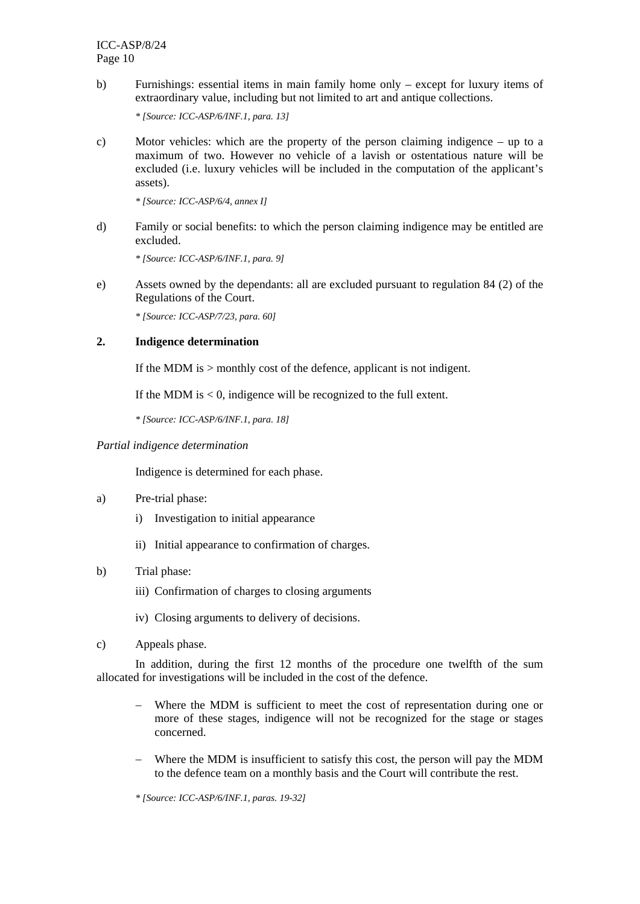b) Furnishings: essential items in main family home only – except for luxury items of extraordinary value, including but not limited to art and antique collections.

*\* [Source: ICC-ASP/6/INF.1, para. 13]* 

c) Motor vehicles: which are the property of the person claiming indigence – up to a maximum of two. However no vehicle of a lavish or ostentatious nature will be excluded (i.e. luxury vehicles will be included in the computation of the applicant's assets).

*\* [Source: ICC-ASP/6/4, annex I]* 

d) Family or social benefits: to which the person claiming indigence may be entitled are excluded.

*\* [Source: ICC-ASP/6/INF.1, para. 9]* 

e) Assets owned by the dependants: all are excluded pursuant to regulation 84 (2) of the Regulations of the Court.

*\* [Source: ICC-ASP/7/23, para. 60]* 

#### **2. Indigence determination**

If the MDM is > monthly cost of the defence, applicant is not indigent.

If the MDM is  $< 0$ , indigence will be recognized to the full extent.

*\* [Source: ICC-ASP/6/INF.1, para. 18]*

#### *Partial indigence determination*

Indigence is determined for each phase.

- a) Pre-trial phase:
	- i) Investigation to initial appearance
	- ii) Initial appearance to confirmation of charges.
- b) Trial phase:
	- iii) Confirmation of charges to closing arguments
	- iv) Closing arguments to delivery of decisions.
- c) Appeals phase.

In addition, during the first 12 months of the procedure one twelfth of the sum allocated for investigations will be included in the cost of the defence.

- − Where the MDM is sufficient to meet the cost of representation during one or more of these stages, indigence will not be recognized for the stage or stages concerned.
- Where the MDM is insufficient to satisfy this cost, the person will pay the MDM to the defence team on a monthly basis and the Court will contribute the rest.

*\* [Source: ICC-ASP/6/INF.1, paras. 19-32]*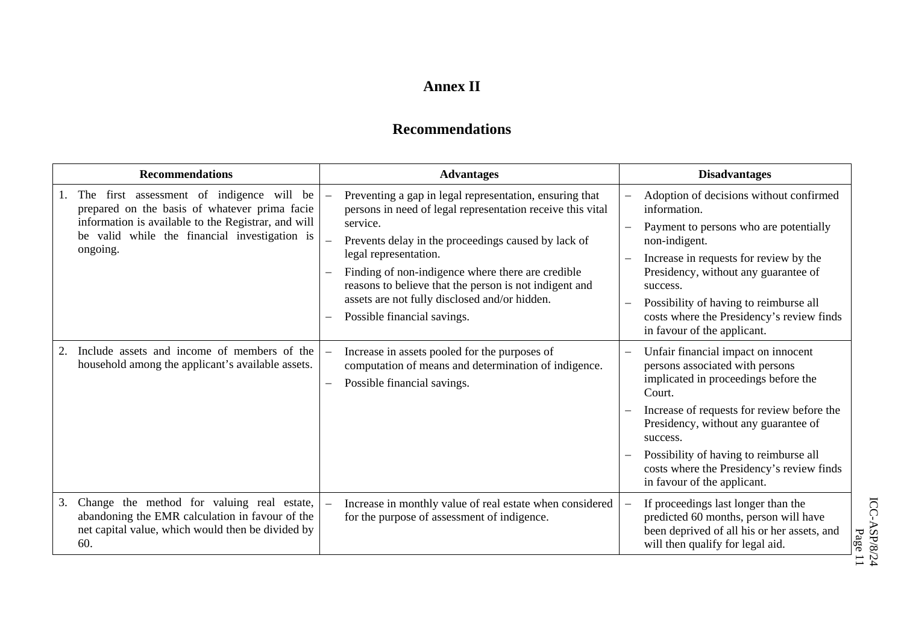## **Annex II**

## **Recommendations**

| <b>Recommendations</b> |                                                                                                                                                                                                                | <b>Advantages</b>                                                                                                                                                                                                                                                                                                                                                                                                | <b>Disadvantages</b>                                                                                                                                                                                                                                                                                                                             |  |
|------------------------|----------------------------------------------------------------------------------------------------------------------------------------------------------------------------------------------------------------|------------------------------------------------------------------------------------------------------------------------------------------------------------------------------------------------------------------------------------------------------------------------------------------------------------------------------------------------------------------------------------------------------------------|--------------------------------------------------------------------------------------------------------------------------------------------------------------------------------------------------------------------------------------------------------------------------------------------------------------------------------------------------|--|
|                        | The first assessment of indigence will be<br>prepared on the basis of whatever prima facie<br>information is available to the Registrar, and will<br>be valid while the financial investigation is<br>ongoing. | Preventing a gap in legal representation, ensuring that<br>persons in need of legal representation receive this vital<br>service.<br>Prevents delay in the proceedings caused by lack of<br>legal representation.<br>Finding of non-indigence where there are credible<br>reasons to believe that the person is not indigent and<br>assets are not fully disclosed and/or hidden.<br>Possible financial savings. | Adoption of decisions without confirmed<br>information.<br>Payment to persons who are potentially<br>non-indigent.<br>Increase in requests for review by the<br>Presidency, without any guarantee of<br>success.<br>Possibility of having to reimburse all<br>costs where the Presidency's review finds<br>in favour of the applicant.           |  |
| 2.                     | Include assets and income of members of the<br>household among the applicant's available assets.                                                                                                               | Increase in assets pooled for the purposes of<br>computation of means and determination of indigence.<br>Possible financial savings.                                                                                                                                                                                                                                                                             | Unfair financial impact on innocent<br>persons associated with persons<br>implicated in proceedings before the<br>Court.<br>Increase of requests for review before the<br>Presidency, without any guarantee of<br>success.<br>Possibility of having to reimburse all<br>costs where the Presidency's review finds<br>in favour of the applicant. |  |
| 3.                     | Change the method for valuing real estate,<br>abandoning the EMR calculation in favour of the<br>net capital value, which would then be divided by<br>60.                                                      | Increase in monthly value of real estate when considered<br>for the purpose of assessment of indigence.                                                                                                                                                                                                                                                                                                          | If proceedings last longer than the<br>predicted 60 months, person will have<br>been deprived of all his or her assets, and<br>will then qualify for legal aid.                                                                                                                                                                                  |  |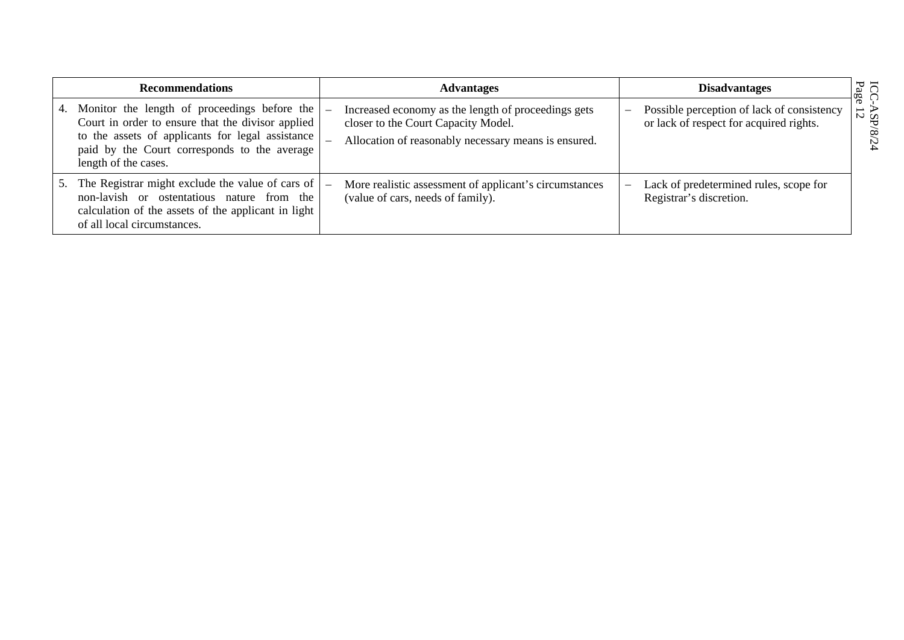| <b>Recommendations</b> |                                                                                                                                                                                                                               | <b>Advantages</b>                                                                                                                                  | <b>Disadvantages</b>                                                                  |                                                                |
|------------------------|-------------------------------------------------------------------------------------------------------------------------------------------------------------------------------------------------------------------------------|----------------------------------------------------------------------------------------------------------------------------------------------------|---------------------------------------------------------------------------------------|----------------------------------------------------------------|
| 4.                     | Monitor the length of proceedings before the<br>Court in order to ensure that the divisor applied<br>to the assets of applicants for legal assistance<br>paid by the Court corresponds to the average<br>length of the cases. | Increased economy as the length of proceedings gets<br>closer to the Court Capacity Model.<br>Allocation of reasonably necessary means is ensured. | Possible perception of lack of consistency<br>or lack of respect for acquired rights. | $\frac{\text{ICC}}{\text{Page}}$<br>$\frac{4}{12}$<br>$\infty$ |
| 5.                     | The Registrar might exclude the value of cars of<br>non-lavish or ostentatious nature from the<br>calculation of the assets of the applicant in light<br>of all local circumstances.                                          | More realistic assessment of applicant's circumstances<br>(value of cars, needs of family).                                                        | Lack of predetermined rules, scope for<br>Registrar's discretion.                     |                                                                |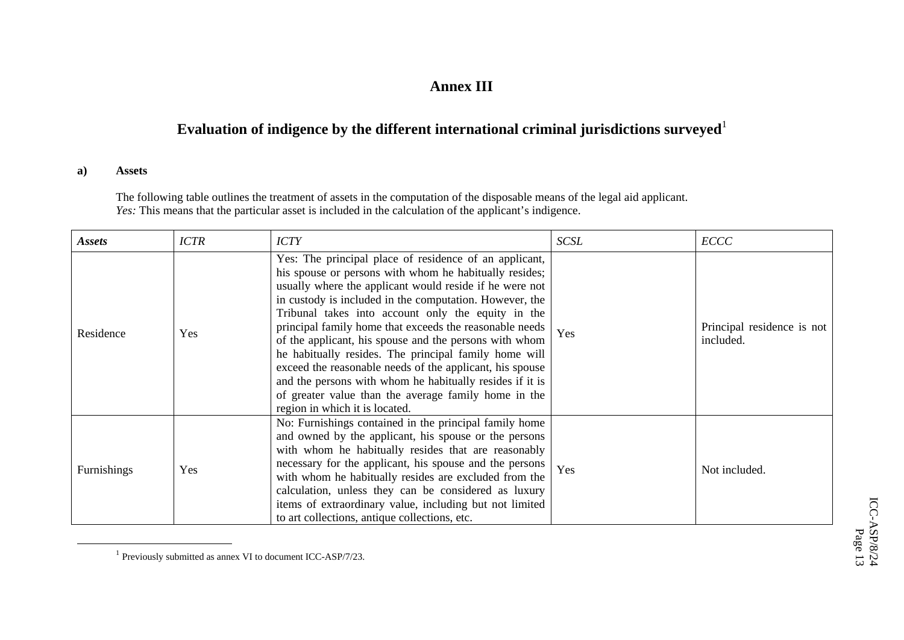## **Annex III**

# **Evaluation of indigence by the different international criminal jurisdictions surveyed**<sup>1</sup>

#### **a) Assets**

The following table outlines the treatment of assets in the computation of the disposable means of the legal aid applicant. *Yes:* This means that the particular asset is included in the calculation of the applicant's indigence.

| <b>Assets</b> | <b>ICTR</b> | <b>ICTY</b>                                                                                                                                                                                                                                                                                                                                                                                                                                                                                                                                                                                                                                                                                  | SCSL | <b>ECCC</b>                             |
|---------------|-------------|----------------------------------------------------------------------------------------------------------------------------------------------------------------------------------------------------------------------------------------------------------------------------------------------------------------------------------------------------------------------------------------------------------------------------------------------------------------------------------------------------------------------------------------------------------------------------------------------------------------------------------------------------------------------------------------------|------|-----------------------------------------|
| Residence     | Yes         | Yes: The principal place of residence of an applicant,<br>his spouse or persons with whom he habitually resides;<br>usually where the applicant would reside if he were not<br>in custody is included in the computation. However, the<br>Tribunal takes into account only the equity in the<br>principal family home that exceeds the reasonable needs<br>of the applicant, his spouse and the persons with whom<br>he habitually resides. The principal family home will<br>exceed the reasonable needs of the applicant, his spouse<br>and the persons with whom he habitually resides if it is<br>of greater value than the average family home in the<br>region in which it is located. | Yes  | Principal residence is not<br>included. |
| Furnishings   | Yes         | No: Furnishings contained in the principal family home<br>and owned by the applicant, his spouse or the persons<br>with whom he habitually resides that are reasonably<br>necessary for the applicant, his spouse and the persons<br>with whom he habitually resides are excluded from the<br>calculation, unless they can be considered as luxury<br>items of extraordinary value, including but not limited<br>to art collections, antique collections, etc.                                                                                                                                                                                                                               | Yes  | Not included.                           |

 $1$  Previously submitted as annex VI to document ICC-ASP/7/23.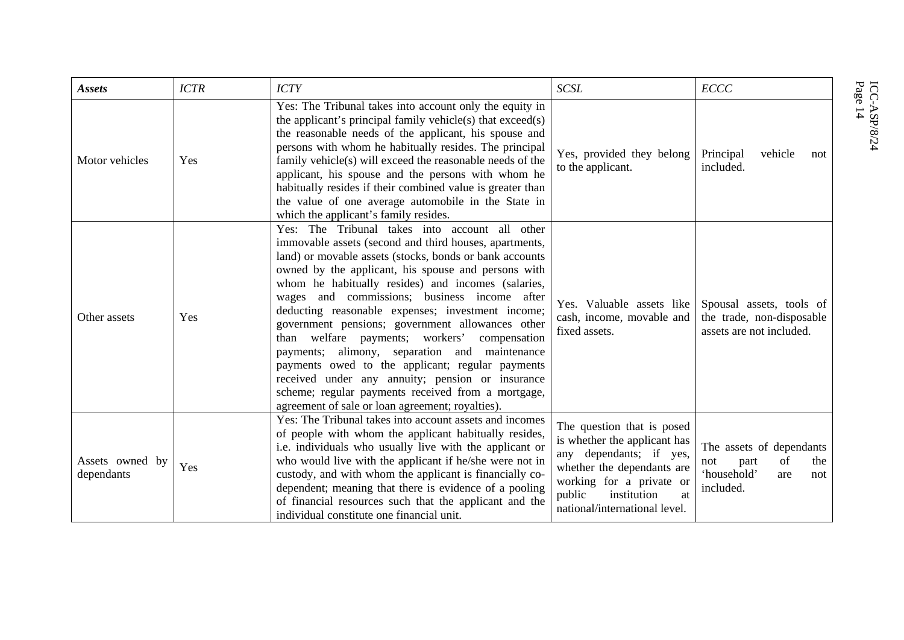| <b>Assets</b>                 | <b>ICTR</b> | <b>ICTY</b>                                                                                                                                                                                                                                                                                                                                                                                                                                                                                                                                                                                                                                                                                                                                                  | SCSL                                                                                                                                                                                                            | <b>ECCC</b>                                                                                    |
|-------------------------------|-------------|--------------------------------------------------------------------------------------------------------------------------------------------------------------------------------------------------------------------------------------------------------------------------------------------------------------------------------------------------------------------------------------------------------------------------------------------------------------------------------------------------------------------------------------------------------------------------------------------------------------------------------------------------------------------------------------------------------------------------------------------------------------|-----------------------------------------------------------------------------------------------------------------------------------------------------------------------------------------------------------------|------------------------------------------------------------------------------------------------|
| Motor vehicles                | Yes         | Yes: The Tribunal takes into account only the equity in<br>the applicant's principal family vehicle(s) that $exceed(s)$<br>the reasonable needs of the applicant, his spouse and<br>persons with whom he habitually resides. The principal<br>family vehicle(s) will exceed the reasonable needs of the<br>applicant, his spouse and the persons with whom he<br>habitually resides if their combined value is greater than<br>the value of one average automobile in the State in<br>which the applicant's family resides.                                                                                                                                                                                                                                  | Yes, provided they belong<br>to the applicant.                                                                                                                                                                  | Principal<br>vehicle<br>not<br>included.                                                       |
| Other assets                  | Yes         | Yes: The Tribunal takes into account all other<br>immovable assets (second and third houses, apartments,<br>land) or movable assets (stocks, bonds or bank accounts<br>owned by the applicant, his spouse and persons with<br>whom he habitually resides) and incomes (salaries,<br>wages and commissions; business income after<br>deducting reasonable expenses; investment income;<br>government pensions; government allowances other<br>than welfare payments; workers' compensation<br>payments; alimony, separation and maintenance<br>payments owed to the applicant; regular payments<br>received under any annuity; pension or insurance<br>scheme; regular payments received from a mortgage,<br>agreement of sale or loan agreement; royalties). | Yes. Valuable assets like<br>cash, income, movable and<br>fixed assets.                                                                                                                                         | Spousal assets, tools of<br>the trade, non-disposable<br>assets are not included.              |
| Assets owned by<br>dependants | Yes         | Yes: The Tribunal takes into account assets and incomes<br>of people with whom the applicant habitually resides,<br>i.e. individuals who usually live with the applicant or<br>who would live with the applicant if he/she were not in<br>custody, and with whom the applicant is financially co-<br>dependent; meaning that there is evidence of a pooling<br>of financial resources such that the applicant and the<br>individual constitute one financial unit.                                                                                                                                                                                                                                                                                           | The question that is posed<br>is whether the applicant has<br>any dependants; if yes,<br>whether the dependants are<br>working for a private or<br>public<br>institution<br>at<br>national/international level. | The assets of dependants<br>of<br>the<br>not<br>part<br>'household'<br>are<br>not<br>included. |

 $\mathrm{ICC}\text{-}\mathrm{ASP}\slash 8/24$  Page 14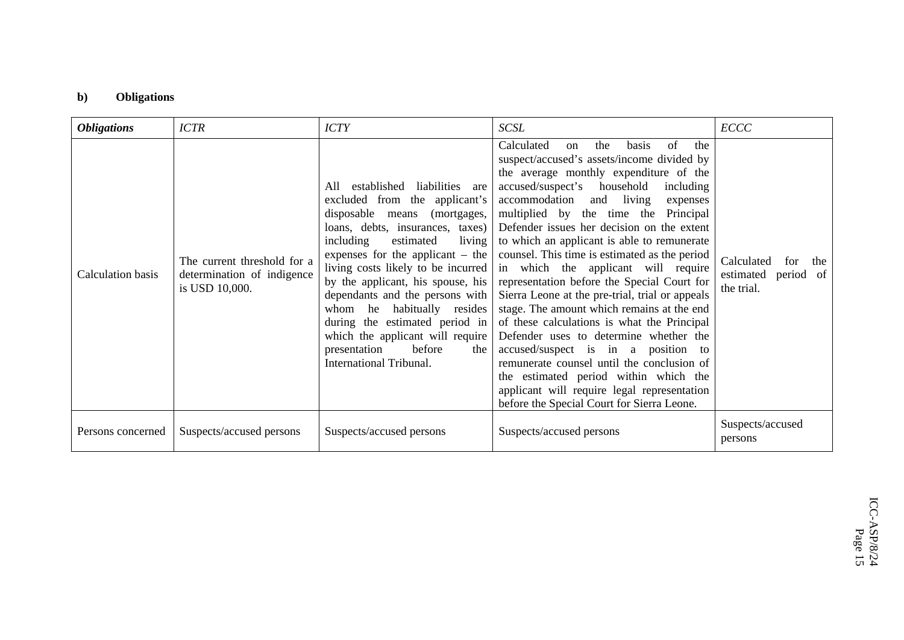## **b) Obligations**

| <b>ICTR</b><br><b>Obligations</b>                                                                | <b>ICTY</b>                                                                                                                                                                                                                                                                                                                                                                                                                                                                                            | <b>SCSL</b>                                                                                                                                                                                                                                                                                                                                                                                                                                                                                                                                                                                                                                                                                                                                                                                                                                                                                                                                     | ECCC                                                          |
|--------------------------------------------------------------------------------------------------|--------------------------------------------------------------------------------------------------------------------------------------------------------------------------------------------------------------------------------------------------------------------------------------------------------------------------------------------------------------------------------------------------------------------------------------------------------------------------------------------------------|-------------------------------------------------------------------------------------------------------------------------------------------------------------------------------------------------------------------------------------------------------------------------------------------------------------------------------------------------------------------------------------------------------------------------------------------------------------------------------------------------------------------------------------------------------------------------------------------------------------------------------------------------------------------------------------------------------------------------------------------------------------------------------------------------------------------------------------------------------------------------------------------------------------------------------------------------|---------------------------------------------------------------|
| The current threshold for a<br>Calculation basis<br>determination of indigence<br>is USD 10,000. | established liabilities are<br>All<br>excluded from the applicant's<br>disposable means (mortgages,<br>loans, debts, insurances, taxes)<br>including<br>estimated<br>living<br>expenses for the applicant $-$ the<br>living costs likely to be incurred<br>by the applicant, his spouse, his<br>dependants and the persons with<br>whom he habitually resides<br>during the estimated period in<br>which the applicant will require<br>before<br>presentation<br>the<br><b>International Tribunal.</b> | of<br>Calculated<br>the<br>the<br><b>basis</b><br><sub>on</sub><br>suspect/accused's assets/income divided by<br>the average monthly expenditure of the<br>accused/suspect's household<br>including<br>accommodation and living<br>expenses<br>multiplied by the time the<br>Principal<br>Defender issues her decision on the extent<br>to which an applicant is able to remunerate<br>counsel. This time is estimated as the period<br>in which the applicant will require<br>representation before the Special Court for<br>Sierra Leone at the pre-trial, trial or appeals<br>stage. The amount which remains at the end<br>of these calculations is what the Principal<br>Defender uses to determine whether the<br>accused/suspect is in a position to<br>remunerate counsel until the conclusion of<br>the estimated period within which the<br>applicant will require legal representation<br>before the Special Court for Sierra Leone. | Calculated<br>for<br>the<br>estimated period of<br>the trial. |
| Persons concerned<br>Suspects/accused persons                                                    | Suspects/accused persons                                                                                                                                                                                                                                                                                                                                                                                                                                                                               | Suspects/accused persons                                                                                                                                                                                                                                                                                                                                                                                                                                                                                                                                                                                                                                                                                                                                                                                                                                                                                                                        | Suspects/accused<br>persons                                   |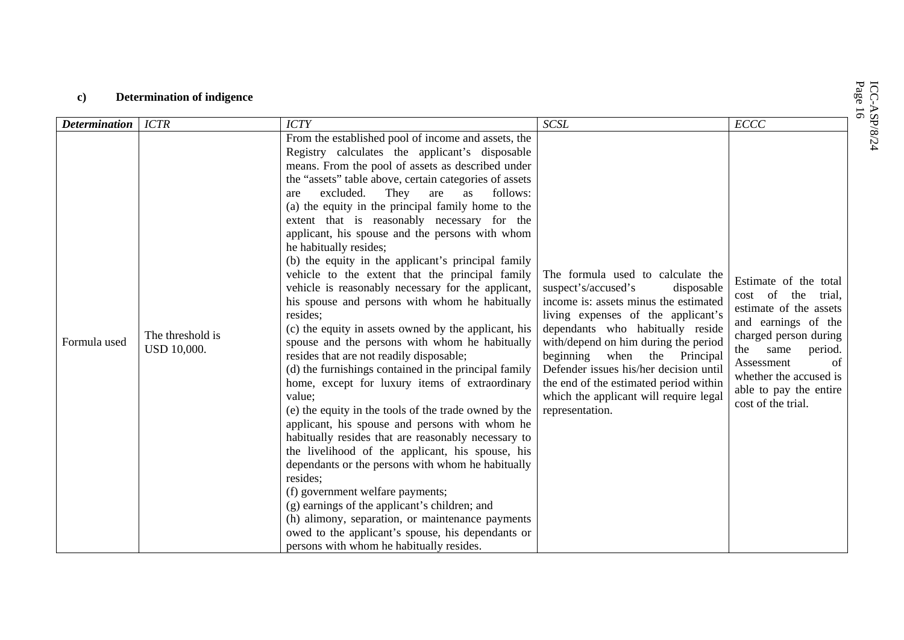| ICC-ASP/8/24<br>Page 16<br><b>Determination of indigence</b><br>$\mathbf{c}$ |                                 |                                                                                                                                                                                                                                                                                                                                                                                                                                                                                                                                                                                                                                                                                                                                                                                                                                                                                                                                                                                                                                                                                                                                                                                                                                                                                                                                                                                                                                                                                                      |                                                                                                                                                                                                                                                                                                                                                                                                                          |                                                                                                                                                                                                                                                  |  |  |  |
|------------------------------------------------------------------------------|---------------------------------|------------------------------------------------------------------------------------------------------------------------------------------------------------------------------------------------------------------------------------------------------------------------------------------------------------------------------------------------------------------------------------------------------------------------------------------------------------------------------------------------------------------------------------------------------------------------------------------------------------------------------------------------------------------------------------------------------------------------------------------------------------------------------------------------------------------------------------------------------------------------------------------------------------------------------------------------------------------------------------------------------------------------------------------------------------------------------------------------------------------------------------------------------------------------------------------------------------------------------------------------------------------------------------------------------------------------------------------------------------------------------------------------------------------------------------------------------------------------------------------------------|--------------------------------------------------------------------------------------------------------------------------------------------------------------------------------------------------------------------------------------------------------------------------------------------------------------------------------------------------------------------------------------------------------------------------|--------------------------------------------------------------------------------------------------------------------------------------------------------------------------------------------------------------------------------------------------|--|--|--|
| <b>Determination</b>                                                         | <b>ICTR</b>                     | <b>ICTY</b>                                                                                                                                                                                                                                                                                                                                                                                                                                                                                                                                                                                                                                                                                                                                                                                                                                                                                                                                                                                                                                                                                                                                                                                                                                                                                                                                                                                                                                                                                          | <b>SCSL</b>                                                                                                                                                                                                                                                                                                                                                                                                              | ECCC                                                                                                                                                                                                                                             |  |  |  |
| Formula used                                                                 | The threshold is<br>USD 10,000. | From the established pool of income and assets, the<br>Registry calculates the applicant's disposable<br>means. From the pool of assets as described under<br>the "assets" table above, certain categories of assets<br>excluded.<br>They<br>are<br>follows:<br>as<br>are<br>(a) the equity in the principal family home to the<br>extent that is reasonably necessary for the<br>applicant, his spouse and the persons with whom<br>he habitually resides;<br>(b) the equity in the applicant's principal family<br>vehicle to the extent that the principal family<br>vehicle is reasonably necessary for the applicant,<br>his spouse and persons with whom he habitually<br>resides;<br>(c) the equity in assets owned by the applicant, his<br>spouse and the persons with whom he habitually<br>resides that are not readily disposable;<br>(d) the furnishings contained in the principal family<br>home, except for luxury items of extraordinary<br>value;<br>(e) the equity in the tools of the trade owned by the<br>applicant, his spouse and persons with whom he<br>habitually resides that are reasonably necessary to<br>the livelihood of the applicant, his spouse, his<br>dependants or the persons with whom he habitually<br>resides;<br>(f) government welfare payments;<br>(g) earnings of the applicant's children; and<br>(h) alimony, separation, or maintenance payments<br>owed to the applicant's spouse, his dependants or<br>persons with whom he habitually resides. | The formula used to calculate the<br>suspect's/accused's<br>disposable<br>income is: assets minus the estimated<br>living expenses of the applicant's<br>dependants who habitually reside<br>with/depend on him during the period<br>beginning<br>when<br>the Principal<br>Defender issues his/her decision until<br>the end of the estimated period within<br>which the applicant will require legal<br>representation. | Estimate of the total<br>cost of the<br>trial,<br>estimate of the assets<br>and earnings of the<br>charged person during<br>same<br>period.<br>the<br>Assessment<br>οf<br>whether the accused is<br>able to pay the entire<br>cost of the trial. |  |  |  |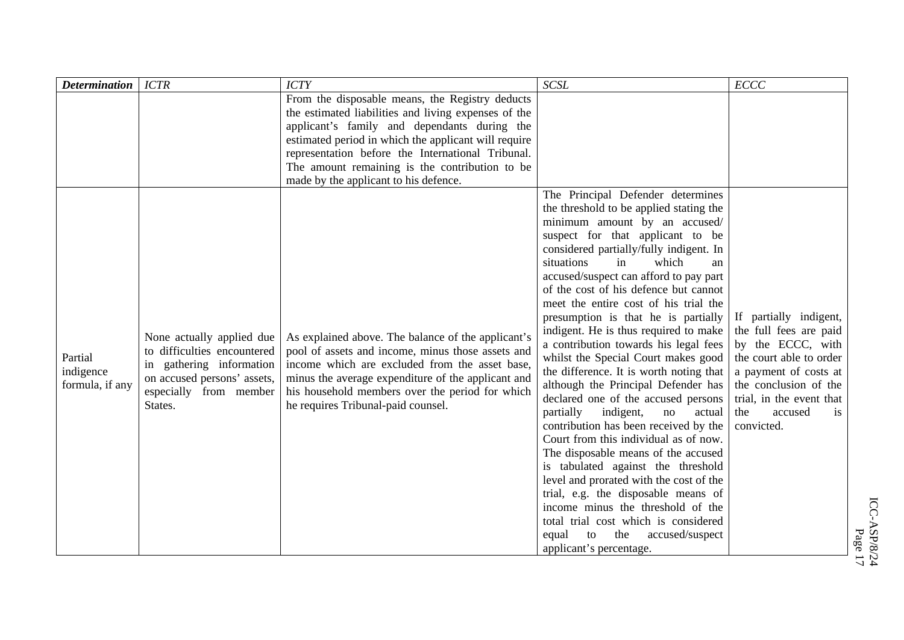| <b>Determination</b>                    | <b>ICTR</b>                                                                                                                                              | <b>ICTY</b>                                                                                                                                                                                                                                                                                                                                                     | $\it SCSL$                                                                                                                                                                                                                                                                                                                                                                                                                                                                                                                                                                                                                                                                                                                                                                                                                                                                                                                                                                                                                                                                                       | ECCC                                                                                                                                                                                                                        |
|-----------------------------------------|----------------------------------------------------------------------------------------------------------------------------------------------------------|-----------------------------------------------------------------------------------------------------------------------------------------------------------------------------------------------------------------------------------------------------------------------------------------------------------------------------------------------------------------|--------------------------------------------------------------------------------------------------------------------------------------------------------------------------------------------------------------------------------------------------------------------------------------------------------------------------------------------------------------------------------------------------------------------------------------------------------------------------------------------------------------------------------------------------------------------------------------------------------------------------------------------------------------------------------------------------------------------------------------------------------------------------------------------------------------------------------------------------------------------------------------------------------------------------------------------------------------------------------------------------------------------------------------------------------------------------------------------------|-----------------------------------------------------------------------------------------------------------------------------------------------------------------------------------------------------------------------------|
|                                         |                                                                                                                                                          | From the disposable means, the Registry deducts<br>the estimated liabilities and living expenses of the<br>applicant's family and dependants during the<br>estimated period in which the applicant will require<br>representation before the International Tribunal.<br>The amount remaining is the contribution to be<br>made by the applicant to his defence. |                                                                                                                                                                                                                                                                                                                                                                                                                                                                                                                                                                                                                                                                                                                                                                                                                                                                                                                                                                                                                                                                                                  |                                                                                                                                                                                                                             |
| Partial<br>indigence<br>formula, if any | None actually applied due<br>to difficulties encountered<br>in gathering information<br>on accused persons' assets,<br>especially from member<br>States. | As explained above. The balance of the applicant's<br>pool of assets and income, minus those assets and<br>income which are excluded from the asset base,<br>minus the average expenditure of the applicant and<br>his household members over the period for which<br>he requires Tribunal-paid counsel.                                                        | The Principal Defender determines<br>the threshold to be applied stating the<br>minimum amount by an accused/<br>suspect for that applicant to be<br>considered partially/fully indigent. In<br>situations<br>in<br>which<br>an<br>accused/suspect can afford to pay part<br>of the cost of his defence but cannot<br>meet the entire cost of his trial the<br>presumption is that he is partially<br>indigent. He is thus required to make<br>a contribution towards his legal fees<br>whilst the Special Court makes good<br>the difference. It is worth noting that<br>although the Principal Defender has<br>declared one of the accused persons<br>partially<br>indigent,<br>no<br>actual<br>contribution has been received by the<br>Court from this individual as of now.<br>The disposable means of the accused<br>is tabulated against the threshold<br>level and prorated with the cost of the<br>trial, e.g. the disposable means of<br>income minus the threshold of the<br>total trial cost which is considered<br>accused/suspect<br>equal<br>the<br>to<br>applicant's percentage. | If partially indigent,<br>the full fees are paid<br>by the ECCC, with<br>the court able to order<br>a payment of costs at<br>the conclusion of the<br>trial, in the event that<br>the<br>accused<br><i>is</i><br>convicted. |